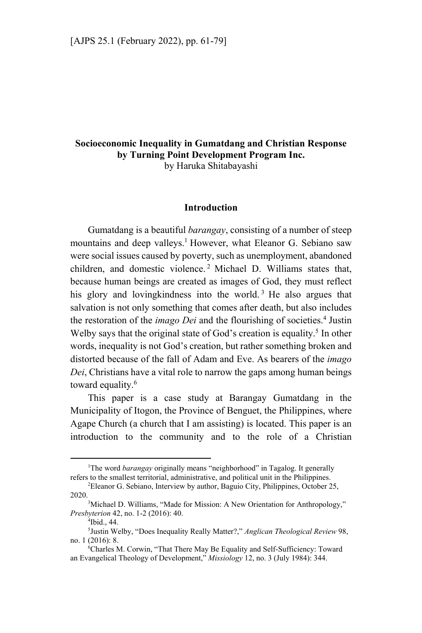## **Socioeconomic Inequality in Gumatdang and Christian Response by Turning Point Development Program Inc.**  by Haruka Shitabayashi

## **Introduction**

Gumatdang is a beautiful *barangay*, consisting of a number of steep mountains and deep valleys.<sup>1</sup> However, what Eleanor G. Sebiano saw were social issues caused by poverty, such as unemployment, abandoned children, and domestic violence. 2 Michael D. Williams states that, because human beings are created as images of God, they must reflect his glory and loving kindness into the world.<sup>3</sup> He also argues that salvation is not only something that comes after death, but also includes the restoration of the *imago Dei* and the flourishing of societies.<sup>4</sup> Justin Welby says that the original state of God's creation is equality.<sup>5</sup> In other words, inequality is not God's creation, but rather something broken and distorted because of the fall of Adam and Eve. As bearers of the *imago Dei*, Christians have a vital role to narrow the gaps among human beings toward equality.<sup>6</sup>

This paper is a case study at Barangay Gumatdang in the Municipality of Itogon, the Province of Benguet, the Philippines, where Agape Church (a church that I am assisting) is located. This paper is an introduction to the community and to the role of a Christian

 $\overline{1}$ <sup>1</sup>The word *barangay* originally means "neighborhood" in Tagalog. It generally refers to the smallest territorial, administrative, and political unit in the Philippines. 2

Eleanor G. Sebiano, Interview by author, Baguio City, Philippines, October 25, 2020.

<sup>&</sup>lt;sup>3</sup>Michael D. Williams, "Made for Mission: A New Orientation for Anthropology," *Presbyterion* 42, no. 1-2 (2016): 40.

<sup>&</sup>lt;sup>4</sup>Ibid., 44.

<sup>5</sup> Justin Welby, "Does Inequality Really Matter?," *Anglican Theological Review* 98, no. 1 (2016): 8.

Charles M. Corwin, "That There May Be Equality and Self-Sufficiency: Toward an Evangelical Theology of Development," *Missiology* 12, no. 3 (July 1984): 344.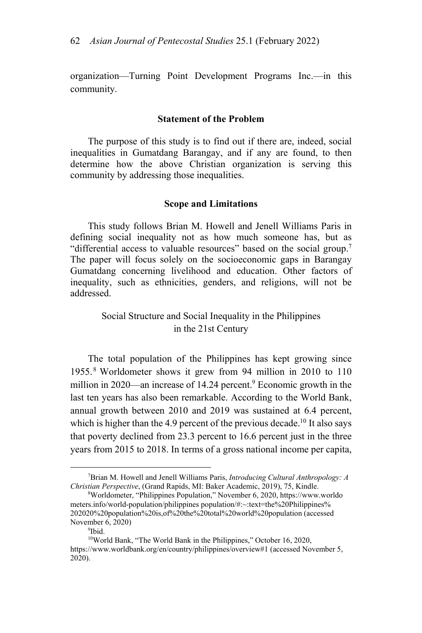organization—Turning Point Development Programs Inc.—in this community.

#### **Statement of the Problem**

The purpose of this study is to find out if there are, indeed, social inequalities in Gumatdang Barangay, and if any are found, to then determine how the above Christian organization is serving this community by addressing those inequalities.

#### **Scope and Limitations**

This study follows Brian M. Howell and Jenell Williams Paris in defining social inequality not as how much someone has, but as "differential access to valuable resources" based on the social group.<sup>7</sup> The paper will focus solely on the socioeconomic gaps in Barangay Gumatdang concerning livelihood and education. Other factors of inequality, such as ethnicities, genders, and religions, will not be addressed.

# Social Structure and Social Inequality in the Philippines in the 21st Century

The total population of the Philippines has kept growing since 1955. 8 Worldometer shows it grew from 94 million in 2010 to 110 million in 2020—an increase of 14.24 percent.<sup>9</sup> Economic growth in the last ten years has also been remarkable. According to the World Bank, annual growth between 2010 and 2019 was sustained at 6.4 percent, which is higher than the 4.9 percent of the previous decade.<sup>10</sup> It also says that poverty declined from 23.3 percent to 16.6 percent just in the three years from 2015 to 2018. In terms of a gross national income per capita,

 $\frac{1}{7}$ Brian M. Howell and Jenell Williams Paris, *Introducing Cultural Anthropology: A Christian Perspective*, (Grand Rapids, MI: Baker Academic, 2019), 75, Kindle.

Worldometer, "Philippines Population," November 6, 2020, https://www.worldo meters.info/world-population/philippines population/#:~:text=the%20Philippines% 202020%20population%20is,of%20the%20total%20world%20population (accessed November 6, 2020)

<sup>9</sup> Ibid.

<sup>10</sup>World Bank, "The World Bank in the Philippines," October 16, 2020, https://www.worldbank.org/en/country/philippines/overview#1 (accessed November 5, 2020).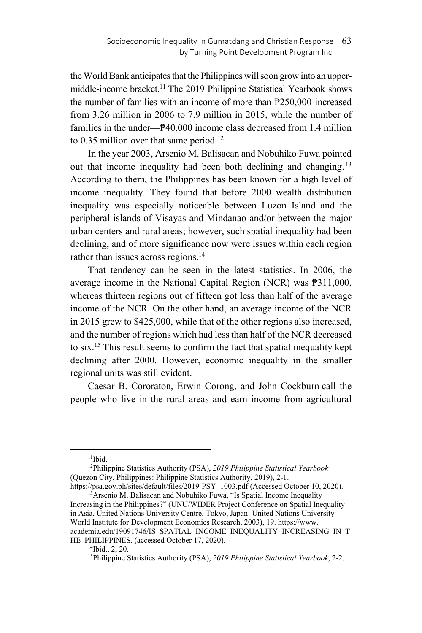the World Bank anticipates that the Philippines will soon grow into an uppermiddle-income bracket.<sup>11</sup> The 2019 Philippine Statistical Yearbook shows the number of families with an income of more than ₱250,000 increased from 3.26 million in 2006 to 7.9 million in 2015, while the number of families in the under—₱40,000 income class decreased from 1.4 million to  $0.35$  million over that same period.<sup>12</sup>

In the year 2003, Arsenio M. Balisacan and Nobuhiko Fuwa pointed out that income inequality had been both declining and changing.<sup>13</sup> According to them, the Philippines has been known for a high level of income inequality. They found that before 2000 wealth distribution inequality was especially noticeable between Luzon Island and the peripheral islands of Visayas and Mindanao and/or between the major urban centers and rural areas; however, such spatial inequality had been declining, and of more significance now were issues within each region rather than issues across regions.<sup>14</sup>

That tendency can be seen in the latest statistics. In 2006, the average income in the National Capital Region (NCR) was ₱311,000, whereas thirteen regions out of fifteen got less than half of the average income of the NCR. On the other hand, an average income of the NCR in 2015 grew to \$425,000, while that of the other regions also increased, and the number of regions which had less than half of the NCR decreased to six.15 This result seems to confirm the fact that spatial inequality kept declining after 2000. However, economic inequality in the smaller regional units was still evident.

Caesar B. Cororaton, Erwin Corong, and John Cockburn call the people who live in the rural areas and earn income from agricultural

 $11$ Ibid.

<sup>12</sup>Philippine Statistics Authority (PSA), *2019 Philippine Statistical Yearbook* (Quezon City, Philippines: Philippine Statistics Authority, 2019), 2-1.<br>https://psa.gov.ph/sites/default/files/2019-PSY 1003.pdf (Accessed October 10, 2020).

 $13$ Arsenio M. Balisacan and Nobuhiko Fuwa, "Is Spatial Income Inequality Increasing in the Philippines?" (UNU/WIDER Project Conference on Spatial Inequality in Asia, United Nations University Centre, Tokyo, Japan: United Nations University World Institute for Development Economics Research, 2003), 19. https://www. academia.edu/19091746/IS\_SPATIAL\_INCOME\_INEQUALITY\_INCREASING\_IN\_T HE\_PHILIPPINES. (accessed October 17, 2020).

 $14$ Ibid., 2, 20.

<sup>15</sup>Philippine Statistics Authority (PSA), *2019 Philippine Statistical Yearbook*, 2-2.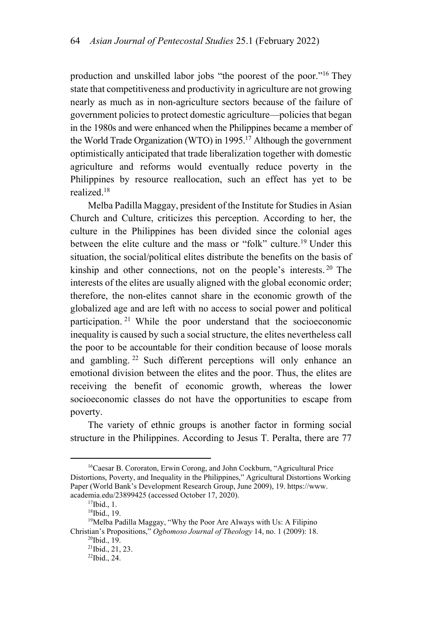production and unskilled labor jobs "the poorest of the poor."16 They state that competitiveness and productivity in agriculture are not growing nearly as much as in non-agriculture sectors because of the failure of government policies to protect domestic agriculture—policies that began in the 1980s and were enhanced when the Philippines became a member of the World Trade Organization (WTO) in 1995.17 Although the government optimistically anticipated that trade liberalization together with domestic agriculture and reforms would eventually reduce poverty in the Philippines by resource reallocation, such an effect has yet to be realized.18

Melba Padilla Maggay, president of the Institute for Studies in Asian Church and Culture, criticizes this perception. According to her, the culture in the Philippines has been divided since the colonial ages between the elite culture and the mass or "folk" culture.<sup>19</sup> Under this situation, the social/political elites distribute the benefits on the basis of kinship and other connections, not on the people's interests.<sup>20</sup> The interests of the elites are usually aligned with the global economic order; therefore, the non-elites cannot share in the economic growth of the globalized age and are left with no access to social power and political participation. 21 While the poor understand that the socioeconomic inequality is caused by such a social structure, the elites nevertheless call the poor to be accountable for their condition because of loose morals and gambling. 22 Such different perceptions will only enhance an emotional division between the elites and the poor. Thus, the elites are receiving the benefit of economic growth, whereas the lower socioeconomic classes do not have the opportunities to escape from poverty.

The variety of ethnic groups is another factor in forming social structure in the Philippines. According to Jesus T. Peralta, there are 77

<sup>&</sup>lt;sup>16</sup>Caesar B. Cororaton, Erwin Corong, and John Cockburn, "Agricultural Price Distortions, Poverty, and Inequality in the Philippines," Agricultural Distortions Working Paper (World Bank's Development Research Group, June 2009), 19. https://www. academia.edu/23899425 (accessed October 17, 2020). 17Ibid., 1.

<sup>18</sup>Ibid., 19.

<sup>&</sup>lt;sup>19</sup>Melba Padilla Maggay, "Why the Poor Are Always with Us: A Filipino Christian's Propositions," *Ogbomoso Journal of Theology* 14, no. 1 (2009): 18. <sup>20</sup>Ibid., 19.

<sup>21</sup>Ibid., 21, 23.

<sup>22</sup>Ibid., 24.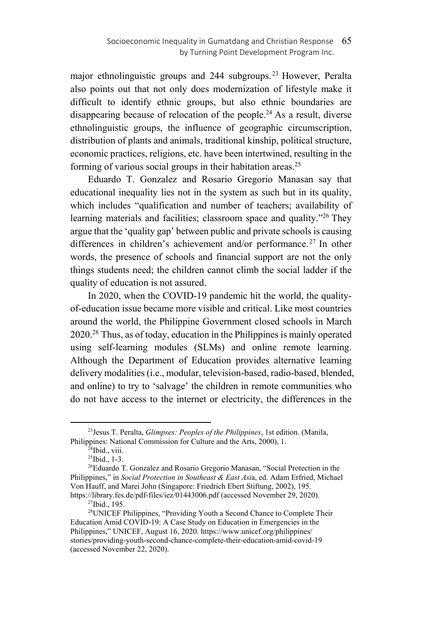major ethnolinguistic groups and 244 subgroups.<sup>23</sup> However, Peralta also points out that not only does modernization of lifestyle make it difficult to identify ethnic groups, but also ethnic boundaries are disappearing because of relocation of the people.<sup>24</sup> As a result, diverse ethnolinguistic groups, the influence of geographic circumscription, distribution of plants and animals, traditional kinship, political structure, economic practices, religions, etc. have been intertwined, resulting in the forming of various social groups in their habitation areas.<sup>25</sup>

Eduardo T. Gonzalez and Rosario Gregorio Manasan say that educational inequality lies not in the system as such but in its quality, which includes "qualification and number of teachers; availability of learning materials and facilities; classroom space and quality."<sup>26</sup> They argue that the 'quality gap' between public and private schools is causing differences in children's achievement and/or performance.<sup>27</sup> In other words, the presence of schools and financial support are not the only things students need; the children cannot climb the social ladder if the quality of education is not assured.

In 2020, when the COVID-19 pandemic hit the world, the qualityof-education issue became more visible and critical. Like most countries around the world, the Philippine Government closed schools in March 2020.28 Thus, as of today, education in the Philippines is mainly operated using self-learning modules (SLMs) and online remote learning. Although the Department of Education provides alternative learning delivery modalities (i.e., modular, television-based, radio-based, blended, and online) to try to 'salvage' the children in remote communities who do not have access to the internet or electricity, the differences in the

 <sup>23</sup>Jesus T. Peralta, *Glimpses: Peoples of the Philippines*, 1st edition. (Manila, Philippines: National Commission for Culture and the Arts, 2000), 1.<br><sup>24</sup>Ibid., viii.

<sup>25</sup>Ibid., 1-3.

<sup>&</sup>lt;sup>26</sup>Eduardo T. Gonzalez and Rosario Gregorio Manasan, "Social Protection in the Philippines," in *Social Protection in Southeast & East Asi*a, ed. Adam Erfried, Michael Von Hauff, and Marei John (Singapore: Friedrich Ebert Stiftung, 2002), 195. https://library.fes.de/pdf-files/iez/01443006.pdf (accessed November 29, 2020).<br><sup>27</sup>Ibid., 195.

<sup>&</sup>lt;sup>28</sup>UNICEF Philippines, "Providing Youth a Second Chance to Complete Their Education Amid COVID-19: A Case Study on Education in Emergencies in the Philippines," UNICEF, August 16, 2020. https://www.unicef.org/philippines/ stories/providing-youth-second-chance-complete-their-education-amid-covid-19 (accessed November 22, 2020).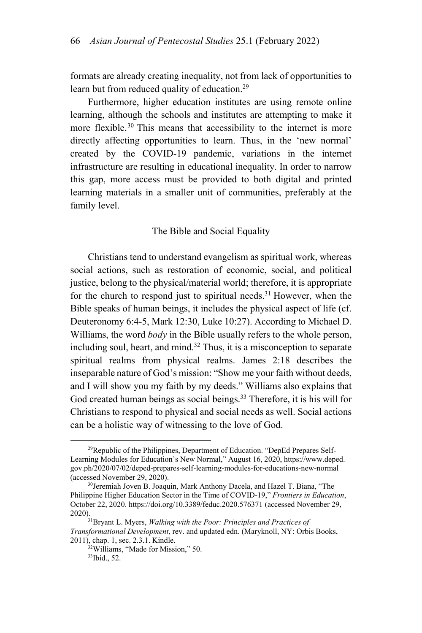formats are already creating inequality, not from lack of opportunities to learn but from reduced quality of education.<sup>29</sup>

Furthermore, higher education institutes are using remote online learning, although the schools and institutes are attempting to make it more flexible.<sup>30</sup> This means that accessibility to the internet is more directly affecting opportunities to learn. Thus, in the 'new normal' created by the COVID-19 pandemic, variations in the internet infrastructure are resulting in educational inequality. In order to narrow this gap, more access must be provided to both digital and printed learning materials in a smaller unit of communities, preferably at the family level.

#### The Bible and Social Equality

Christians tend to understand evangelism as spiritual work, whereas social actions, such as restoration of economic, social, and political justice, belong to the physical/material world; therefore, it is appropriate for the church to respond just to spiritual needs.<sup>31</sup> However, when the Bible speaks of human beings, it includes the physical aspect of life (cf. Deuteronomy 6:4-5, Mark 12:30, Luke 10:27). According to Michael D. Williams, the word *body* in the Bible usually refers to the whole person, including soul, heart, and mind. $32$  Thus, it is a misconception to separate spiritual realms from physical realms. James 2:18 describes the inseparable nature of God's mission: "Show me your faith without deeds, and I will show you my faith by my deeds." Williams also explains that God created human beings as social beings.<sup>33</sup> Therefore, it is his will for Christians to respond to physical and social needs as well. Social actions can be a holistic way of witnessing to the love of God.

 $29$ Republic of the Philippines, Department of Education. "DepEd Prepares Self-Learning Modules for Education's New Normal," August 16, 2020, https://www.deped. gov.ph/2020/07/02/deped-prepares-self-learning-modules-for-educations-new-normal (accessed November 29, 2020).<br><sup>30</sup>Jeremiah Joven B. Joaquin, Mark Anthony Dacela, and Hazel T. Biana, "The

Philippine Higher Education Sector in the Time of COVID-19," *Frontiers in Education*, October 22, 2020. https://doi.org/10.3389/feduc.2020.576371 (accessed November 29, 2020). 31Bryant L. Myers, *Walking with the Poor: Principles and Practices of* 

*Transformational Development*, rev. and updated edn. (Maryknoll, NY: Orbis Books, 2011), chap. 1, sec. 2.3.1. Kindle.<br><sup>32</sup>Williams, "Made for Mission," 50.

<sup>33</sup>Ibid., 52.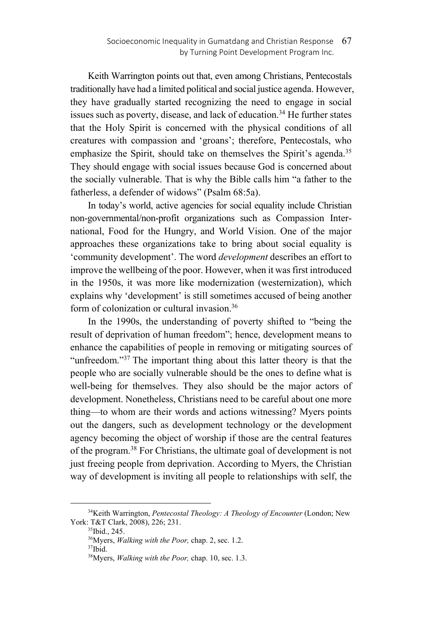Keith Warrington points out that, even among Christians, Pentecostals traditionally have had a limited political and social justice agenda. However, they have gradually started recognizing the need to engage in social issues such as poverty, disease, and lack of education.<sup>34</sup> He further states that the Holy Spirit is concerned with the physical conditions of all creatures with compassion and 'groans'; therefore, Pentecostals, who emphasize the Spirit, should take on themselves the Spirit's agenda.<sup>35</sup> They should engage with social issues because God is concerned about the socially vulnerable. That is why the Bible calls him "a father to the fatherless, a defender of widows" (Psalm 68:5a).

In today's world, active agencies for social equality include Christian non-governmental/non-profit organizations such as Compassion International, Food for the Hungry, and World Vision. One of the major approaches these organizations take to bring about social equality is 'community development'. The word *development* describes an effort to improve the wellbeing of the poor. However, when it was first introduced in the 1950s, it was more like modernization (westernization), which explains why 'development' is still sometimes accused of being another form of colonization or cultural invasion.36

In the 1990s, the understanding of poverty shifted to "being the result of deprivation of human freedom"; hence, development means to enhance the capabilities of people in removing or mitigating sources of "unfreedom."<sup>37</sup> The important thing about this latter theory is that the people who are socially vulnerable should be the ones to define what is well-being for themselves. They also should be the major actors of development. Nonetheless, Christians need to be careful about one more thing—to whom are their words and actions witnessing? Myers points out the dangers, such as development technology or the development agency becoming the object of worship if those are the central features of the program.38 For Christians, the ultimate goal of development is not just freeing people from deprivation. According to Myers, the Christian way of development is inviting all people to relationships with self, the

 <sup>34</sup>Keith Warrington, *Pentecostal Theology: A Theology of Encounter* (London; New York: T&T Clark, 2008), 226; 231.<br><sup>35</sup>Ibid., 245.

<sup>&</sup>lt;sup>36</sup>Myers, *Walking with the Poor*, chap. 2, sec. 1.2. <sup>37</sup>Ibid.

<sup>38</sup>Myers, *Walking with the Poor,* chap. 10, sec. 1.3.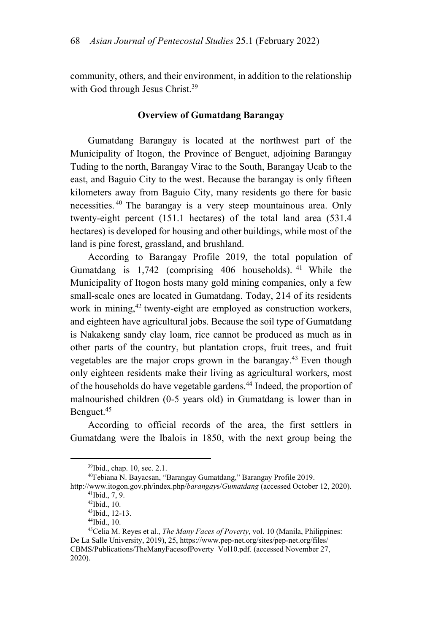community, others, and their environment, in addition to the relationship with God through Jesus Christ.<sup>39</sup>

#### **Overview of Gumatdang Barangay**

Gumatdang Barangay is located at the northwest part of the Municipality of Itogon, the Province of Benguet, adjoining Barangay Tuding to the north, Barangay Virac to the South, Barangay Ucab to the east, and Baguio City to the west. Because the barangay is only fifteen kilometers away from Baguio City, many residents go there for basic necessities. 40 The barangay is a very steep mountainous area. Only twenty-eight percent (151.1 hectares) of the total land area (531.4 hectares) is developed for housing and other buildings, while most of the land is pine forest, grassland, and brushland.

According to Barangay Profile 2019, the total population of Gumatdang is  $1,742$  (comprising 406 households). <sup>41</sup> While the Municipality of Itogon hosts many gold mining companies, only a few small-scale ones are located in Gumatdang. Today, 214 of its residents work in mining,<sup>42</sup> twenty-eight are employed as construction workers, and eighteen have agricultural jobs. Because the soil type of Gumatdang is Nakakeng sandy clay loam, rice cannot be produced as much as in other parts of the country, but plantation crops, fruit trees, and fruit vegetables are the major crops grown in the barangay.43 Even though only eighteen residents make their living as agricultural workers, most of the households do have vegetable gardens.<sup>44</sup> Indeed, the proportion of malnourished children (0-5 years old) in Gumatdang is lower than in Benguet.45

According to official records of the area, the first settlers in Gumatdang were the Ibalois in 1850, with the next group being the

 <sup>39</sup>Ibid., chap. 10, sec. 2.1.

<sup>40</sup>Febiana N. Bayacsan, "Barangay Gumatdang," Barangay Profile 2019.

http://www.itogon.gov.ph/index.php/*barangay*s/*Gumatdang* (accessed October 12, 2020). 41Ibid., 7, 9.

<sup>42</sup>Ibid., 10.

<sup>43</sup>Ibid., 12-13.

<sup>44</sup>Ibid., 10.

<sup>45</sup>Celia M. Reyes et al., *The Many Faces of Poverty*, vol. 10 (Manila, Philippines: De La Salle University, 2019), 25, https://www.pep-net.org/sites/pep-net.org/files/ CBMS/Publications/TheManyFacesofPoverty\_Vol10.pdf. (accessed November 27, 2020).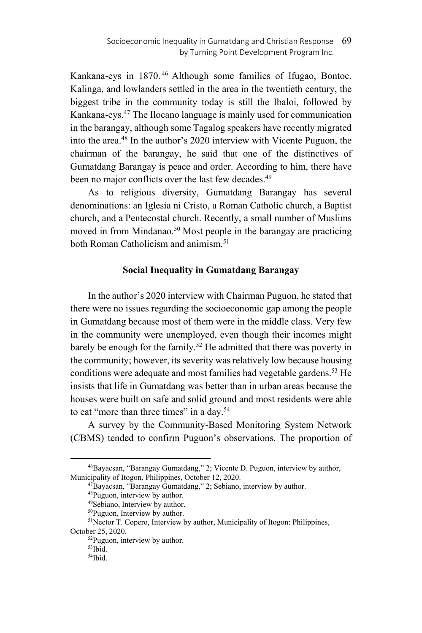Kankana-eys in 1870. 46 Although some families of Ifugao, Bontoc, Kalinga, and lowlanders settled in the area in the twentieth century, the biggest tribe in the community today is still the Ibaloi, followed by Kankana-eys.47 The Ilocano language is mainly used for communication in the barangay, although some Tagalog speakers have recently migrated into the area.48 In the author's 2020 interview with Vicente Puguon, the chairman of the barangay, he said that one of the distinctives of Gumatdang Barangay is peace and order. According to him, there have been no major conflicts over the last few decades.<sup>49</sup>

As to religious diversity, Gumatdang Barangay has several denominations: an Iglesia ni Cristo, a Roman Catholic church, a Baptist church, and a Pentecostal church. Recently, a small number of Muslims moved in from Mindanao.<sup>50</sup> Most people in the barangay are practicing both Roman Catholicism and animism<sup>51</sup>

## **Social Inequality in Gumatdang Barangay**

In the author's 2020 interview with Chairman Puguon, he stated that there were no issues regarding the socioeconomic gap among the people in Gumatdang because most of them were in the middle class. Very few in the community were unemployed, even though their incomes might barely be enough for the family.<sup>52</sup> He admitted that there was poverty in the community; however, its severity was relatively low because housing conditions were adequate and most families had vegetable gardens.<sup>53</sup> He insists that life in Gumatdang was better than in urban areas because the houses were built on safe and solid ground and most residents were able to eat "more than three times" in a day.<sup>54</sup>

A survey by the Community-Based Monitoring System Network (CBMS) tended to confirm Puguon's observations. The proportion of

 <sup>46</sup>Bayacsan, "Barangay Gumatdang," 2; Vicente D. Puguon, interview by author, Municipality of Itogon, Philippines, October 12, 2020.<br><sup>47</sup>Bayacsan, "Barangay Gumatdang," 2; Sebiano, interview by author.<br><sup>48</sup>Puguon, interview by author.

<sup>49</sup>Sebiano, Interview by author.

<sup>50</sup>Puguon, Interview by author.

<sup>&</sup>lt;sup>51</sup>Nector T. Copero, Interview by author, Municipality of Itogon: Philippines, October 25, 2020.<br> $52$ Puguon, interview by author.

<sup>53</sup>Ibid.

<sup>54</sup>Ibid.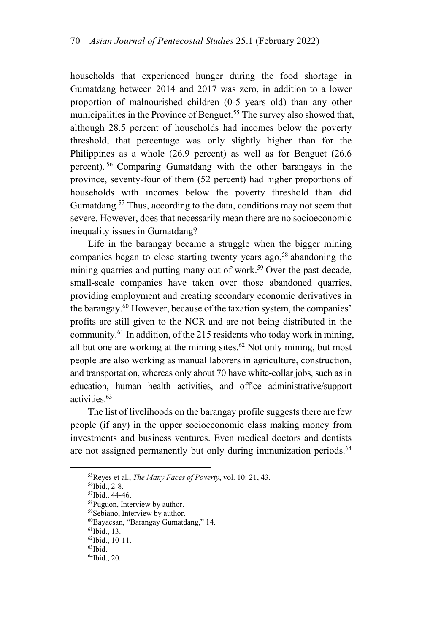households that experienced hunger during the food shortage in Gumatdang between 2014 and 2017 was zero, in addition to a lower proportion of malnourished children (0-5 years old) than any other municipalities in the Province of Benguet.<sup>55</sup> The survey also showed that, although 28.5 percent of households had incomes below the poverty threshold, that percentage was only slightly higher than for the Philippines as a whole (26.9 percent) as well as for Benguet (26.6 percent). 56 Comparing Gumatdang with the other barangays in the province, seventy-four of them (52 percent) had higher proportions of households with incomes below the poverty threshold than did Gumatdang.<sup>57</sup> Thus, according to the data, conditions may not seem that severe. However, does that necessarily mean there are no socioeconomic inequality issues in Gumatdang?

Life in the barangay became a struggle when the bigger mining companies began to close starting twenty years ago,<sup>58</sup> abandoning the mining quarries and putting many out of work.<sup>59</sup> Over the past decade, small-scale companies have taken over those abandoned quarries, providing employment and creating secondary economic derivatives in the barangay.60 However, because of the taxation system, the companies' profits are still given to the NCR and are not being distributed in the community.<sup>61</sup> In addition, of the 215 residents who today work in mining, all but one are working at the mining sites. $62$  Not only mining, but most people are also working as manual laborers in agriculture, construction, and transportation, whereas only about 70 have white-collar jobs, such as in education, human health activities, and office administrative/support activities.63

The list of livelihoods on the barangay profile suggests there are few people (if any) in the upper socioeconomic class making money from investments and business ventures. Even medical doctors and dentists are not assigned permanently but only during immunization periods.<sup>64</sup>

57Ibid., 44-46.

<sup>&</sup>lt;sup>55</sup>Reyes et al., *The Many Faces of Poverty*, vol. 10: 21, 43. <sup>56</sup>Ibid., 2-8.

<sup>58</sup>Puguon, Interview by author.

<sup>59</sup> Sebiano, Interview by author. 60Bayacsan, "Barangay Gumatdang," 14.

<sup>61</sup>Ibid., 13.

<sup>62</sup>Ibid., 10-11.

 $63$ Ibid.

<sup>64</sup>Ibid., 20.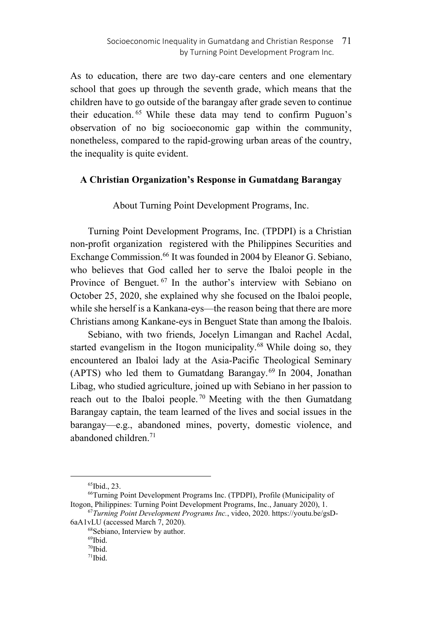As to education, there are two day-care centers and one elementary school that goes up through the seventh grade, which means that the children have to go outside of the barangay after grade seven to continue their education. 65 While these data may tend to confirm Puguon's observation of no big socioeconomic gap within the community, nonetheless, compared to the rapid-growing urban areas of the country, the inequality is quite evident.

## **A Christian Organization's Response in Gumatdang Barangay**

About Turning Point Development Programs, Inc.

Turning Point Development Programs, Inc. (TPDPI) is a Christian non-profit organization registered with the Philippines Securities and Exchange Commission.<sup>66</sup> It was founded in 2004 by Eleanor G. Sebiano, who believes that God called her to serve the Ibaloi people in the Province of Benguet.<sup>67</sup> In the author's interview with Sebiano on October 25, 2020, she explained why she focused on the Ibaloi people, while she herself is a Kankana-eys—the reason being that there are more Christians among Kankane-eys in Benguet State than among the Ibalois.

Sebiano, with two friends, Jocelyn Limangan and Rachel Acdal, started evangelism in the Itogon municipality.<sup>68</sup> While doing so, they encountered an Ibaloi lady at the Asia-Pacific Theological Seminary (APTS) who led them to Gumatdang Barangay.<sup>69</sup> In 2004, Jonathan Libag, who studied agriculture, joined up with Sebiano in her passion to reach out to the Ibaloi people.<sup>70</sup> Meeting with the then Gumatdang Barangay captain, the team learned of the lives and social issues in the barangay—e.g., abandoned mines, poverty, domestic violence, and abandoned children.71

 <sup>65</sup>Ibid., 23.

<sup>66</sup>Turning Point Development Programs Inc. (TPDPI), Profile (Municipality of

Itogon, Philippines: Turning Point Development Programs, Inc., January 2020), 1.<br><sup>67</sup>*Turning Point Development Programs Inc.*, video, 2020. https://youtu.be/gsD-6aA1vLU (accessed March 7, 2020).

<sup>&</sup>lt;sup>68</sup>Sebiano, Interview by author.

<sup>69</sup>Ibid.

<sup>70</sup>Ibid.

 $71$ Ibid.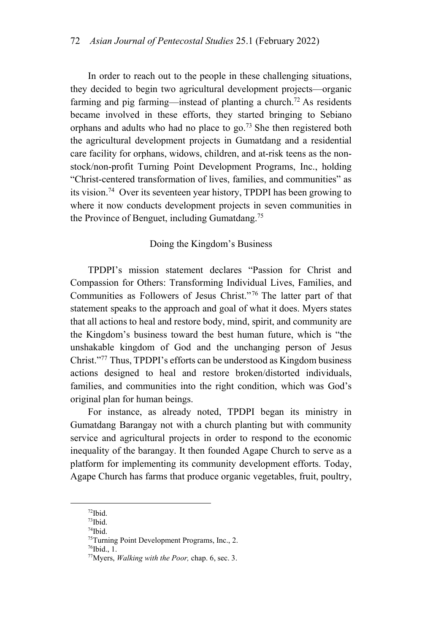In order to reach out to the people in these challenging situations, they decided to begin two agricultural development projects—organic farming and pig farming—instead of planting a church.<sup>72</sup> As residents became involved in these efforts, they started bringing to Sebiano orphans and adults who had no place to go.<sup>73</sup> She then registered both the agricultural development projects in Gumatdang and a residential care facility for orphans, widows, children, and at-risk teens as the nonstock/non-profit Turning Point Development Programs, Inc., holding "Christ-centered transformation of lives, families, and communities" as its vision.74 Over its seventeen year history, TPDPI has been growing to where it now conducts development projects in seven communities in the Province of Benguet, including Gumatdang.75

## Doing the Kingdom's Business

TPDPI's mission statement declares "Passion for Christ and Compassion for Others: Transforming Individual Lives, Families, and Communities as Followers of Jesus Christ."76 The latter part of that statement speaks to the approach and goal of what it does. Myers states that all actions to heal and restore body, mind, spirit, and community are the Kingdom's business toward the best human future, which is "the unshakable kingdom of God and the unchanging person of Jesus Christ."77 Thus, TPDPI's efforts can be understood as Kingdom business actions designed to heal and restore broken/distorted individuals, families, and communities into the right condition, which was God's original plan for human beings.

For instance, as already noted, TPDPI began its ministry in Gumatdang Barangay not with a church planting but with community service and agricultural projects in order to respond to the economic inequality of the barangay. It then founded Agape Church to serve as a platform for implementing its community development efforts. Today, Agape Church has farms that produce organic vegetables, fruit, poultry,

 <sup>72</sup>Ibid.

<sup>73</sup>Ibid.

 $^{74}\mathrm{Ibid.}$ 

<sup>75</sup>Turning Point Development Programs, Inc., 2.

 $76$ Ibid., 1.

<sup>77</sup>Myers, *Walking with the Poor,* chap. 6, sec. 3.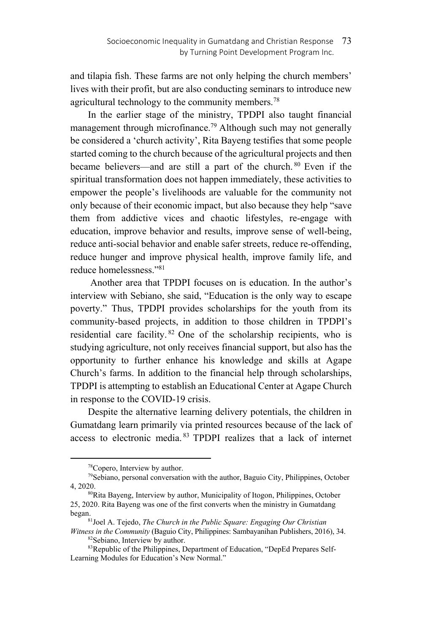and tilapia fish. These farms are not only helping the church members' lives with their profit, but are also conducting seminars to introduce new agricultural technology to the community members.<sup>78</sup>

In the earlier stage of the ministry, TPDPI also taught financial management through microfinance.<sup>79</sup> Although such may not generally be considered a 'church activity', Rita Bayeng testifies that some people started coming to the church because of the agricultural projects and then became believers—and are still a part of the church. 80 Even if the spiritual transformation does not happen immediately, these activities to empower the people's livelihoods are valuable for the community not only because of their economic impact, but also because they help "save them from addictive vices and chaotic lifestyles, re-engage with education, improve behavior and results, improve sense of well-being, reduce anti-social behavior and enable safer streets, reduce re-offending, reduce hunger and improve physical health, improve family life, and reduce homelessness."81

 Another area that TPDPI focuses on is education. In the author's interview with Sebiano, she said, "Education is the only way to escape poverty." Thus, TPDPI provides scholarships for the youth from its community-based projects, in addition to those children in TPDPI's residential care facility.  $82$  One of the scholarship recipients, who is studying agriculture, not only receives financial support, but also has the opportunity to further enhance his knowledge and skills at Agape Church's farms. In addition to the financial help through scholarships, TPDPI is attempting to establish an Educational Center at Agape Church in response to the COVID-19 crisis.

Despite the alternative learning delivery potentials, the children in Gumatdang learn primarily via printed resources because of the lack of access to electronic media. 83 TPDPI realizes that a lack of internet

 <sup>78</sup>Copero, Interview by author.

 $79$ Sebiano, personal conversation with the author, Baguio City, Philippines, October 4. 2020.

<sup>&</sup>lt;sup>80</sup>Rita Bayeng, Interview by author, Municipality of Itogon, Philippines, October 25, 2020. Rita Bayeng was one of the first converts when the ministry in Gumatdang began. 81Joel A. Tejedo, *The Church in the Public Square: Engaging Our Christian* 

*Witness in the Community* (Baguio City, Philippines: Sambayanihan Publishers, 2016), 34. 82Sebiano, Interview by author.

<sup>83</sup>Republic of the Philippines, Department of Education, "DepEd Prepares Self-Learning Modules for Education's New Normal."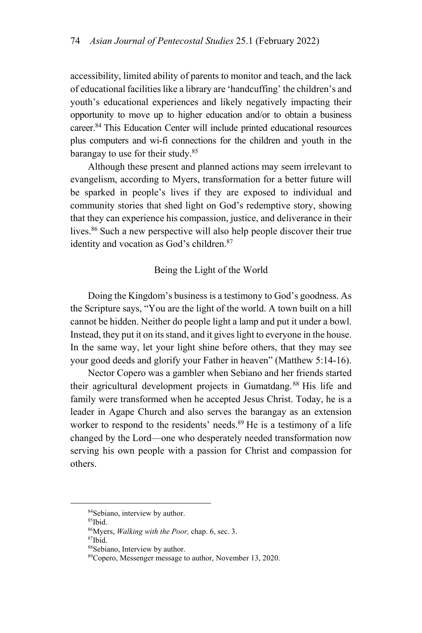accessibility, limited ability of parents to monitor and teach, and the lack of educational facilities like a library are 'handcuffing' the children's and youth's educational experiences and likely negatively impacting their opportunity to move up to higher education and/or to obtain a business career.<sup>84</sup> This Education Center will include printed educational resources plus computers and wi-fi connections for the children and youth in the barangay to use for their study.<sup>85</sup>

Although these present and planned actions may seem irrelevant to evangelism, according to Myers, transformation for a better future will be sparked in people's lives if they are exposed to individual and community stories that shed light on God's redemptive story, showing that they can experience his compassion, justice, and deliverance in their lives.<sup>86</sup> Such a new perspective will also help people discover their true identity and vocation as God's children.<sup>87</sup>

## Being the Light of the World

Doing the Kingdom's business is a testimony to God's goodness. As the Scripture says, "You are the light of the world. A town built on a hill cannot be hidden. Neither do people light a lamp and put it under a bowl. Instead, they put it on its stand, and it gives light to everyone in the house. In the same way, let your light shine before others, that they may see your good deeds and glorify your Father in heaven" (Matthew 5:14-16).

Nector Copero was a gambler when Sebiano and her friends started their agricultural development projects in Gumatdang.88 His life and family were transformed when he accepted Jesus Christ. Today, he is a leader in Agape Church and also serves the barangay as an extension worker to respond to the residents' needs.<sup>89</sup> He is a testimony of a life changed by the Lord—one who desperately needed transformation now serving his own people with a passion for Christ and compassion for others.

<sup>84</sup>Sebiano, interview by author.

<sup>85</sup>Ibid.

<sup>86</sup>Myers, *Walking with the Poor,* chap. 6, sec. 3. 87Ibid.

<sup>88</sup>Sebiano, Interview by author.

<sup>89</sup>Copero, Messenger message to author, November 13, 2020.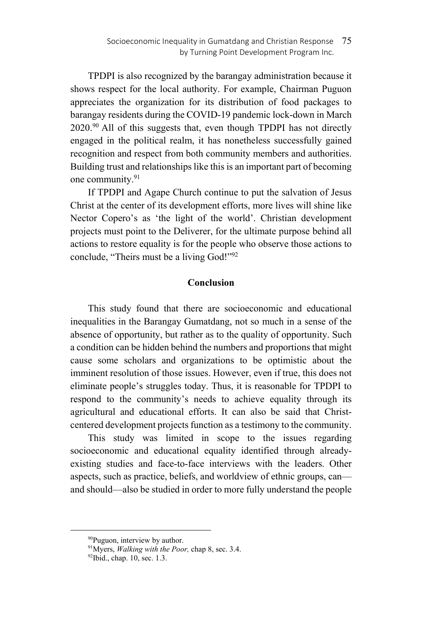TPDPI is also recognized by the barangay administration because it shows respect for the local authority. For example, Chairman Puguon appreciates the organization for its distribution of food packages to barangay residents during the COVID-19 pandemic lock-down in March  $2020.^{90}$  All of this suggests that, even though TPDPI has not directly engaged in the political realm, it has nonetheless successfully gained recognition and respect from both community members and authorities. Building trust and relationships like this is an important part of becoming one community.<sup>91</sup>

If TPDPI and Agape Church continue to put the salvation of Jesus Christ at the center of its development efforts, more lives will shine like Nector Copero's as 'the light of the world'. Christian development projects must point to the Deliverer, for the ultimate purpose behind all actions to restore equality is for the people who observe those actions to conclude, "Theirs must be a living God!"92

## **Conclusion**

This study found that there are socioeconomic and educational inequalities in the Barangay Gumatdang, not so much in a sense of the absence of opportunity, but rather as to the quality of opportunity. Such a condition can be hidden behind the numbers and proportions that might cause some scholars and organizations to be optimistic about the imminent resolution of those issues. However, even if true, this does not eliminate people's struggles today. Thus, it is reasonable for TPDPI to respond to the community's needs to achieve equality through its agricultural and educational efforts. It can also be said that Christcentered development projects function as a testimony to the community.

This study was limited in scope to the issues regarding socioeconomic and educational equality identified through alreadyexisting studies and face-to-face interviews with the leaders. Other aspects, such as practice, beliefs, and worldview of ethnic groups, can and should—also be studied in order to more fully understand the people

 <sup>90</sup>Puguon, interview by author.

<sup>&</sup>lt;sup>91</sup>Myers, *Walking with the Poor*, chap 8, sec. 3.4. <sup>92</sup>Ibid., chap. 10, sec. 1.3.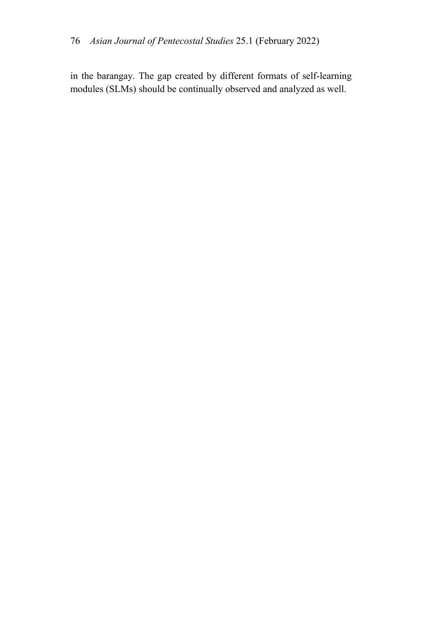in the barangay. The gap created by different formats of self-learning modules (SLMs) should be continually observed and analyzed as well.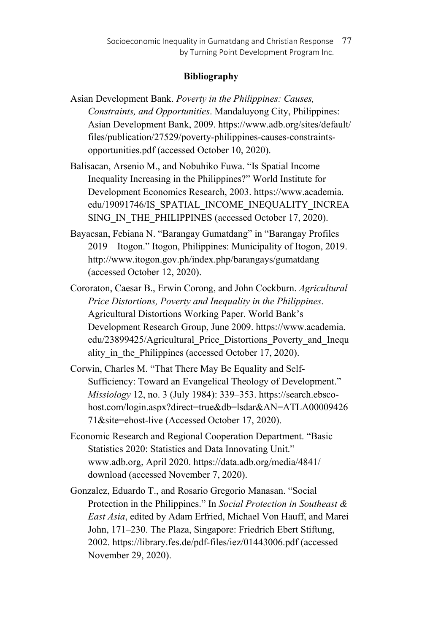# **Bibliography**

- Asian Development Bank. *Poverty in the Philippines: Causes, Constraints, and Opportunities*. Mandaluyong City, Philippines: Asian Development Bank, 2009. https://www.adb.org/sites/default/ files/publication/27529/poverty-philippines-causes-constraintsopportunities.pdf (accessed October 10, 2020).
- Balisacan, Arsenio M., and Nobuhiko Fuwa. "Is Spatial Income Inequality Increasing in the Philippines?" World Institute for Development Economics Research, 2003. https://www.academia. edu/19091746/IS\_SPATIAL\_INCOME\_INEQUALITY\_INCREA SING IN THE PHILIPPINES (accessed October 17, 2020).
- Bayacsan, Febiana N. "Barangay Gumatdang" in "Barangay Profiles 2019 – Itogon." Itogon, Philippines: Municipality of Itogon, 2019. http://www.itogon.gov.ph/index.php/barangays/gumatdang (accessed October 12, 2020).
- Cororaton, Caesar B., Erwin Corong, and John Cockburn. *Agricultural Price Distortions, Poverty and Inequality in the Philippines*. Agricultural Distortions Working Paper. World Bank's Development Research Group, June 2009. https://www.academia. edu/23899425/Agricultural\_Price\_Distortions\_Poverty\_and\_Inequ ality in the Philippines (accessed October 17, 2020).
- Corwin, Charles M. "That There May Be Equality and Self-Sufficiency: Toward an Evangelical Theology of Development." *Missiology* 12, no. 3 (July 1984): 339–353. https://search.ebscohost.com/login.aspx?direct=true&db=lsdar&AN=ATLA00009426 71&site=ehost-live (Accessed October 17, 2020).
- Economic Research and Regional Cooperation Department. "Basic Statistics 2020: Statistics and Data Innovating Unit." www.adb.org, April 2020. https://data.adb.org/media/4841/ download (accessed November 7, 2020).
- Gonzalez, Eduardo T., and Rosario Gregorio Manasan. "Social Protection in the Philippines." In *Social Protection in Southeast & East Asia*, edited by Adam Erfried, Michael Von Hauff, and Marei John, 171–230. The Plaza, Singapore: Friedrich Ebert Stiftung, 2002. https://library.fes.de/pdf-files/iez/01443006.pdf (accessed November 29, 2020).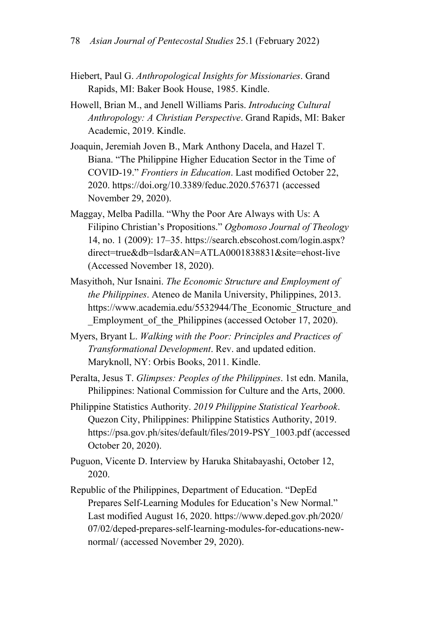- Hiebert, Paul G. *Anthropological Insights for Missionaries*. Grand Rapids, MI: Baker Book House, 1985. Kindle.
- Howell, Brian M., and Jenell Williams Paris. *Introducing Cultural Anthropology: A Christian Perspective*. Grand Rapids, MI: Baker Academic, 2019. Kindle.
- Joaquin, Jeremiah Joven B., Mark Anthony Dacela, and Hazel T. Biana. "The Philippine Higher Education Sector in the Time of COVID-19." *Frontiers in Education*. Last modified October 22, 2020. https://doi.org/10.3389/feduc.2020.576371 (accessed November 29, 2020).
- Maggay, Melba Padilla. "Why the Poor Are Always with Us: A Filipino Christian's Propositions." *Ogbomoso Journal of Theology* 14, no. 1 (2009): 17–35. https://search.ebscohost.com/login.aspx? direct=true&db=lsdar&AN=ATLA0001838831&site=ehost-live (Accessed November 18, 2020).
- Masyithoh, Nur Isnaini. *The Economic Structure and Employment of the Philippines*. Ateneo de Manila University, Philippines, 2013. https://www.academia.edu/5532944/The\_Economic\_Structure\_and \_Employment\_of\_the\_Philippines (accessed October 17, 2020).
- Myers, Bryant L. *Walking with the Poor: Principles and Practices of Transformational Development*. Rev. and updated edition. Maryknoll, NY: Orbis Books, 2011. Kindle.
- Peralta, Jesus T. *Glimpses: Peoples of the Philippines*. 1st edn. Manila, Philippines: National Commission for Culture and the Arts, 2000.
- Philippine Statistics Authority. *2019 Philippine Statistical Yearbook*. Quezon City, Philippines: Philippine Statistics Authority, 2019. https://psa.gov.ph/sites/default/files/2019-PSY\_1003.pdf (accessed October 20, 2020).
- Puguon, Vicente D. Interview by Haruka Shitabayashi, October 12, 2020.
- Republic of the Philippines, Department of Education. "DepEd Prepares Self-Learning Modules for Education's New Normal." Last modified August 16, 2020. https://www.deped.gov.ph/2020/ 07/02/deped-prepares-self-learning-modules-for-educations-newnormal/ (accessed November 29, 2020).